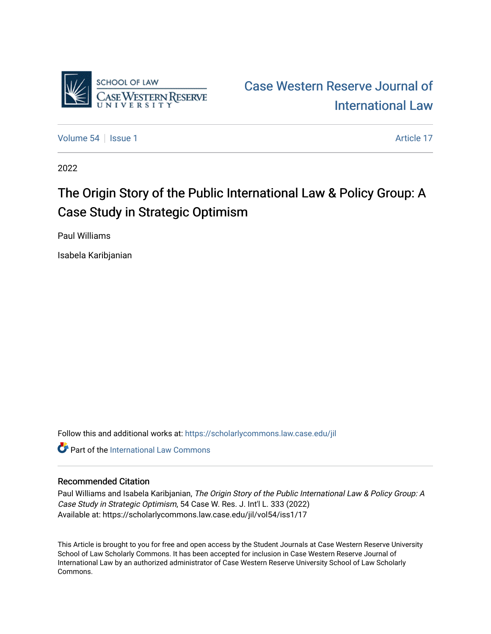

[Case Western Reserve Journal of](https://scholarlycommons.law.case.edu/jil)  [International Law](https://scholarlycommons.law.case.edu/jil) 

[Volume 54](https://scholarlycommons.law.case.edu/jil/vol54) | [Issue 1](https://scholarlycommons.law.case.edu/jil/vol54/iss1) Article 17

2022

# The Origin Story of the Public International Law & Policy Group: A Case Study in Strategic Optimism

Paul Williams

Isabela Karibjanian

Follow this and additional works at: [https://scholarlycommons.law.case.edu/jil](https://scholarlycommons.law.case.edu/jil?utm_source=scholarlycommons.law.case.edu%2Fjil%2Fvol54%2Fiss1%2F17&utm_medium=PDF&utm_campaign=PDFCoverPages) 

**C** Part of the International Law Commons

#### Recommended Citation

Paul Williams and Isabela Karibjanian, The Origin Story of the Public International Law & Policy Group: A Case Study in Strategic Optimism, 54 Case W. Res. J. Int'l L. 333 (2022) Available at: https://scholarlycommons.law.case.edu/jil/vol54/iss1/17

This Article is brought to you for free and open access by the Student Journals at Case Western Reserve University School of Law Scholarly Commons. It has been accepted for inclusion in Case Western Reserve Journal of International Law by an authorized administrator of Case Western Reserve University School of Law Scholarly Commons.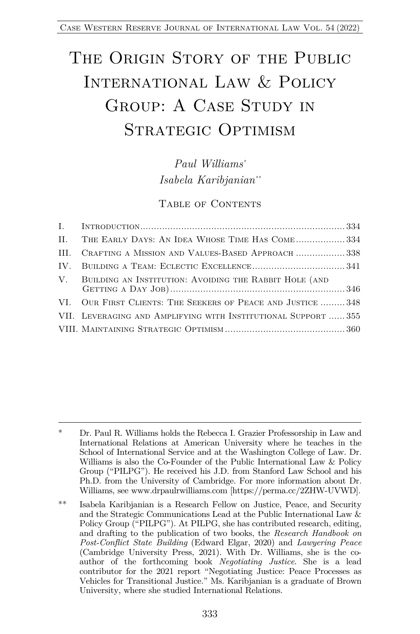# THE ORIGIN STORY OF THE PUBLIC INTERNATIONAL LAW & POLICY GROUP: A CASE STUDY IN STRATEGIC OPTIMISM

*Paul Williams\* Isabela Karibjanian\*\**

TABLE OF CONTENTS

| II. THE EARLY DAYS: AN IDEA WHOSE TIME HAS COME334             |  |
|----------------------------------------------------------------|--|
| III. CRAFTING A MISSION AND VALUES-BASED APPROACH 338          |  |
|                                                                |  |
| V. BUILDING AN INSTITUTION: AVOIDING THE RABBIT HOLE (AND      |  |
| VI. OUR FIRST CLIENTS: THE SEEKERS OF PEACE AND JUSTICE  348   |  |
| VII. LEVERAGING AND AMPLIFYING WITH INSTITUTIONAL SUPPORT  355 |  |
|                                                                |  |

<sup>\*</sup> Dr. Paul R. Williams holds the Rebecca I. Grazier Professorship in Law and International Relations at American University where he teaches in the School of International Service and at the Washington College of Law. Dr. Williams is also the Co-Founder of the Public International Law & Policy Group ("PILPG"). He received his J.D. from Stanford Law School and his Ph.D. from the University of Cambridge. For more information about Dr. Williams, see www.drpaulrwilliams.com [https://perma.cc/2ZHW-UVWD].

<sup>\*\*</sup> Isabela Karibjanian is a Research Fellow on Justice, Peace, and Security and the Strategic Communications Lead at the Public International Law & Policy Group ("PILPG"). At PILPG, she has contributed research, editing, and drafting to the publication of two books, the *Research Handbook on Post-Conflict State Building* (Edward Elgar, 2020) and *Lawyering Peace* (Cambridge University Press, 2021). With Dr. Williams, she is the coauthor of the forthcoming book *Negotiating Justice*. She is a lead contributor for the 2021 report "Negotiating Justice: Peace Processes as Vehicles for Transitional Justice." Ms. Karibjanian is a graduate of Brown University, where she studied International Relations.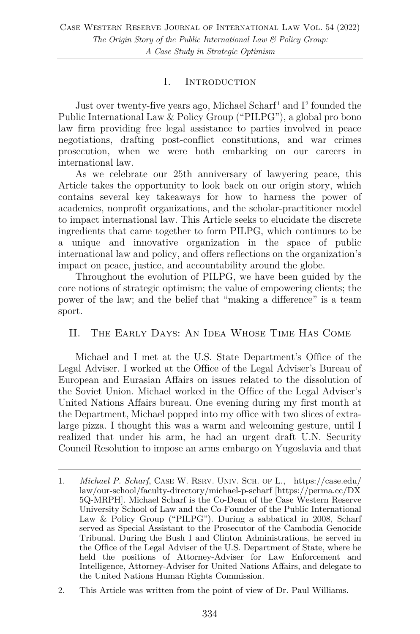#### I. Introduction

Just over twenty-five years ago, Michael Scharf<sup>1</sup> and I<sup>2</sup> founded the Public International Law & Policy Group ("PILPG"), a global pro bono law firm providing free legal assistance to parties involved in peace negotiations, drafting post-conflict constitutions, and war crimes prosecution, when we were both embarking on our careers in international law.

As we celebrate our 25th anniversary of lawyering peace, this Article takes the opportunity to look back on our origin story, which contains several key takeaways for how to harness the power of academics, nonprofit organizations, and the scholar-practitioner model to impact international law. This Article seeks to elucidate the discrete ingredients that came together to form PILPG, which continues to be a unique and innovative organization in the space of public international law and policy, and offers reflections on the organization's impact on peace, justice, and accountability around the globe.

Throughout the evolution of PILPG, we have been guided by the core notions of strategic optimism; the value of empowering clients; the power of the law; and the belief that "making a difference" is a team sport.

#### II. The Early Days: An Idea Whose Time Has Come

Michael and I met at the U.S. State Department's Office of the Legal Adviser. I worked at the Office of the Legal Adviser's Bureau of European and Eurasian Affairs on issues related to the dissolution of the Soviet Union. Michael worked in the Office of the Legal Adviser's United Nations Affairs bureau. One evening during my first month at the Department, Michael popped into my office with two slices of extralarge pizza. I thought this was a warm and welcoming gesture, until I realized that under his arm, he had an urgent draft U.N. Security Council Resolution to impose an arms embargo on Yugoslavia and that

<sup>1.</sup> *Michael P. Scharf*, CASE W. RSRV. UNIV. SCH. OF L., https://case.edu/ law/our-school/faculty-directory/michael-p-scharf [https://perma.cc/DX 5Q-MRPH]. Michael Scharf is the Co-Dean of the Case Western Reserve University School of Law and the Co-Founder of the Public International Law & Policy Group ("PILPG"). During a sabbatical in 2008, Scharf served as Special Assistant to the Prosecutor of the Cambodia Genocide Tribunal. During the Bush I and Clinton Administrations, he served in the Office of the Legal Adviser of the U.S. Department of State, where he held the positions of Attorney-Adviser for Law Enforcement and Intelligence, Attorney-Adviser for United Nations Affairs, and delegate to the United Nations Human Rights Commission.

<sup>2.</sup> This Article was written from the point of view of Dr. Paul Williams.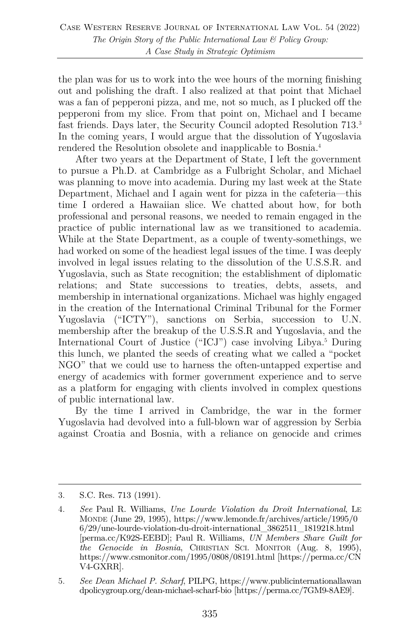the plan was for us to work into the wee hours of the morning finishing out and polishing the draft. I also realized at that point that Michael was a fan of pepperoni pizza, and me, not so much, as I plucked off the pepperoni from my slice. From that point on, Michael and I became fast friends. Days later, the Security Council adopted Resolution 713.3 In the coming years, I would argue that the dissolution of Yugoslavia rendered the Resolution obsolete and inapplicable to Bosnia.4

After two years at the Department of State, I left the government to pursue a Ph.D. at Cambridge as a Fulbright Scholar, and Michael was planning to move into academia. During my last week at the State Department, Michael and I again went for pizza in the cafeteria—this time I ordered a Hawaiian slice. We chatted about how, for both professional and personal reasons, we needed to remain engaged in the practice of public international law as we transitioned to academia. While at the State Department, as a couple of twenty-somethings, we had worked on some of the headiest legal issues of the time. I was deeply involved in legal issues relating to the dissolution of the U.S.S.R. and Yugoslavia, such as State recognition; the establishment of diplomatic relations; and State successions to treaties, debts, assets, and membership in international organizations. Michael was highly engaged in the creation of the International Criminal Tribunal for the Former Yugoslavia ("ICTY"), sanctions on Serbia, succession to U.N. membership after the breakup of the U.S.S.R and Yugoslavia, and the International Court of Justice ("ICJ") case involving Libya.5 During this lunch, we planted the seeds of creating what we called a "pocket NGO" that we could use to harness the often-untapped expertise and energy of academics with former government experience and to serve as a platform for engaging with clients involved in complex questions of public international law.

By the time I arrived in Cambridge, the war in the former Yugoslavia had devolved into a full-blown war of aggression by Serbia against Croatia and Bosnia, with a reliance on genocide and crimes

<sup>3.</sup> S.C. Res. 713 (1991).

<sup>4.</sup> *See* Paul R. Williams, *Une Lourde Violation du Droit International*, LE MONDE (June 29, 1995), https://www.lemonde.fr/archives/article/1995/0 6/29/une-lourde-violation-du-droit-international\_3862511\_1819218.html [perma.cc/K92S-EEBD]; Paul R. Williams, *UN Members Share Guilt for the Genocide in Bosnia*, CHRISTIAN SCI. MONITOR (Aug. 8, 1995), https://www.csmonitor.com/1995/0808/08191.html [https://perma.cc/CN V4-GXRR].

<sup>5.</sup> *See Dean Michael P. Scharf*, PILPG, https://www.publicinternationallawan dpolicygroup.org/dean-michael-scharf-bio [https://perma.cc/7GM9-8AE9].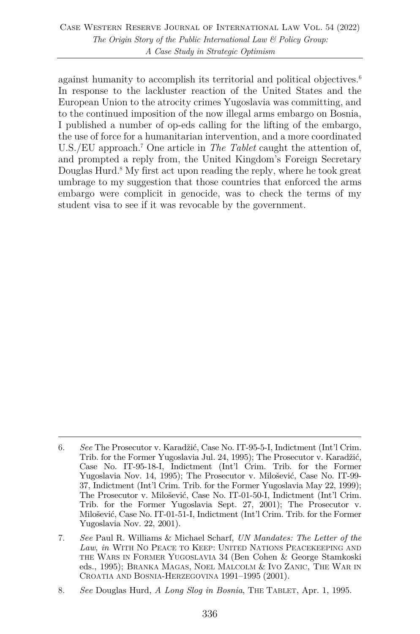against humanity to accomplish its territorial and political objectives.<sup>6</sup> In response to the lackluster reaction of the United States and the European Union to the atrocity crimes Yugoslavia was committing, and to the continued imposition of the now illegal arms embargo on Bosnia, I published a number of op-eds calling for the lifting of the embargo, the use of force for a humanitarian intervention, and a more coordinated U.S./EU approach.7 One article in *The Tablet* caught the attention of, and prompted a reply from, the United Kingdom's Foreign Secretary Douglas Hurd.<sup>8</sup> My first act upon reading the reply, where he took great umbrage to my suggestion that those countries that enforced the arms embargo were complicit in genocide, was to check the terms of my student visa to see if it was revocable by the government.

<sup>6.</sup> *See* The Prosecutor v. Karadžić, Case No. IT-95-5-I, Indictment (Int'l Crim. Trib. for the Former Yugoslavia Jul. 24, 1995); The Prosecutor v. Karadžić, Case No. IT-95-18-I, Indictment (Int'l Crim. Trib. for the Former Yugoslavia Nov. 14, 1995); The Prosecutor v. Milošević, Case No. IT-99- 37, Indictment (Int'l Crim. Trib. for the Former Yugoslavia May 22, 1999); The Prosecutor v. Milošević, Case No. IT-01-50-I, Indictment (Int'l Crim. Trib. for the Former Yugoslavia Sept. 27, 2001); The Prosecutor v. Milošević, Case No. IT-01-51-I, Indictment (Int'l Crim. Trib. for the Former Yugoslavia Nov. 22, 2001).

<sup>7.</sup> *See* Paul R. Williams & Michael Scharf, *UN Mandates: The Letter of the Law*, *in* WITH NO PEACE TO KEEP: UNITED NATIONS PEACEKEEPING AND THE WARS IN FORMER YUGOSLAVIA 34 (Ben Cohen & George Stamkoski eds., 1995); BRANKA MAGAS, NOEL MALCOLM & IVO ZANIC, THE WAR IN CROATIA AND BOSNIA-HERZEGOVINA 1991–1995 (2001).

<sup>8.</sup> *See* Douglas Hurd, *A Long Slog in Bosnia*, THE TABLET, Apr. 1, 1995.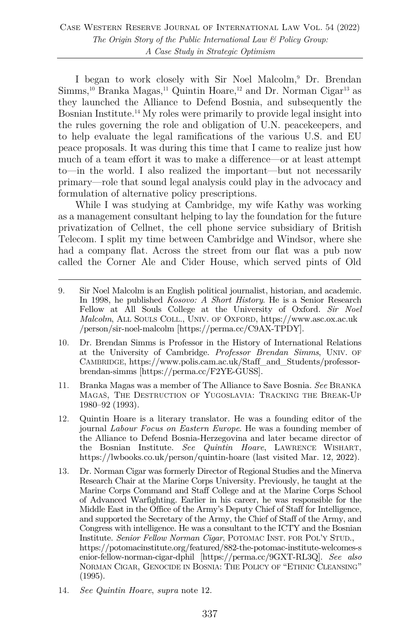I began to work closely with Sir Noel Malcolm,9 Dr. Brendan  $Simms<sup>10</sup> Branka Magas<sup>11</sup> Quintin Hoare<sup>12</sup> and Dr. Norman Cigar<sup>13</sup> as$ they launched the Alliance to Defend Bosnia, and subsequently the Bosnian Institute.14 My roles were primarily to provide legal insight into the rules governing the role and obligation of U.N. peacekeepers, and to help evaluate the legal ramifications of the various U.S. and EU peace proposals. It was during this time that I came to realize just how much of a team effort it was to make a difference—or at least attempt to—in the world. I also realized the important—but not necessarily primary—role that sound legal analysis could play in the advocacy and formulation of alternative policy prescriptions.

While I was studying at Cambridge, my wife Kathy was working as a management consultant helping to lay the foundation for the future privatization of Cellnet, the cell phone service subsidiary of British Telecom. I split my time between Cambridge and Windsor, where she had a company flat. Across the street from our flat was a pub now called the Corner Ale and Cider House, which served pints of Old

- 9. Sir Noel Malcolm is an English political journalist, historian, and academic. In 1998, he published *Kosovo: A Short History*. He is a Senior Research Fellow at All Souls College at the University of Oxford. *Sir Noel Malcolm*, ALL SOULS COLL., UNIV. OF OXFORD, https://www.asc.ox.ac.uk /person/sir-noel-malcolm [https://perma.cc/C9AX-TPDY].
- 10. Dr. Brendan Simms is Professor in the History of International Relations at the University of Cambridge. *Professor Brendan Simms*, UNIV. OF CAMBRIDGE, https://www.polis.cam.ac.uk/Staff\_and\_Students/professorbrendan-simms [https://perma.cc/F2YE-GUSS].
- 11. Branka Magas was a member of The Alliance to Save Bosnia. *See* BRANKA MAGAŠ, THE DESTRUCTION OF YUGOSLAVIA: TRACKING THE BREAK-UP 1980–92 (1993).
- 12. Quintin Hoare is a literary translator. He was a founding editor of the journal *Labour Focus on Eastern Europe*. He was a founding member of the Alliance to Defend Bosnia-Herzegovina and later became director of the Bosnian Institute. *See Quintin Hoare*, LAWRENCE WISHART, https://lwbooks.co.uk/person/quintin-hoare (last visited Mar. 12, 2022).
- 13. Dr. Norman Cigar was formerly Director of Regional Studies and the Minerva Research Chair at the Marine Corps University. Previously, he taught at the Marine Corps Command and Staff College and at the Marine Corps School of Advanced Warfighting. Earlier in his career, he was responsible for the Middle East in the Office of the Army's Deputy Chief of Staff for Intelligence, and supported the Secretary of the Army, the Chief of Staff of the Army, and Congress with intelligence. He was a consultant to the ICTY and the Bosnian Institute. *Senior Fellow Norman Cigar*, POTOMAC INST. FOR POL'Y STUD., https://potomacinstitute.org/featured/882-the-potomac-institute-welcomes-s enior-fellow-norman-cigar-dphil [https://perma.cc/9GXT-RL3Q]. *See also* NORMAN CIGAR, GENOCIDE IN BOSNIA: THE POLICY OF "ETHNIC CLEANSING" (1995).
- 14. *See Quintin Hoare*, *supra* note 12.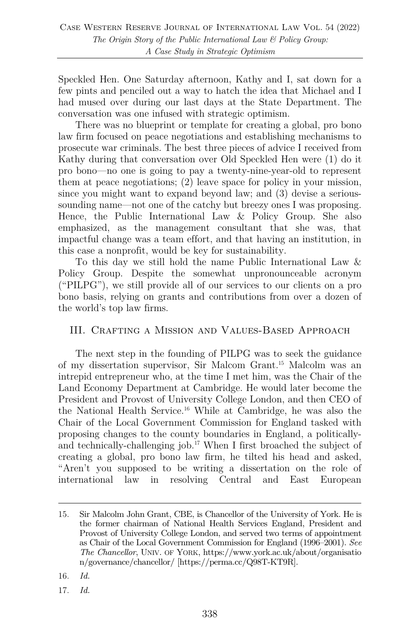Speckled Hen. One Saturday afternoon, Kathy and I, sat down for a few pints and penciled out a way to hatch the idea that Michael and I had mused over during our last days at the State Department. The conversation was one infused with strategic optimism.

There was no blueprint or template for creating a global, pro bono law firm focused on peace negotiations and establishing mechanisms to prosecute war criminals. The best three pieces of advice I received from Kathy during that conversation over Old Speckled Hen were (1) do it pro bono—no one is going to pay a twenty-nine-year-old to represent them at peace negotiations; (2) leave space for policy in your mission, since you might want to expand beyond law; and (3) devise a serioussounding name—not one of the catchy but breezy ones I was proposing. Hence, the Public International Law & Policy Group. She also emphasized, as the management consultant that she was, that impactful change was a team effort, and that having an institution, in this case a nonprofit, would be key for sustainability.

To this day we still hold the name Public International Law & Policy Group. Despite the somewhat unpronounceable acronym ("PILPG"), we still provide all of our services to our clients on a pro bono basis, relying on grants and contributions from over a dozen of the world's top law firms.

#### III. Crafting a Mission and Values-Based Approach

The next step in the founding of PILPG was to seek the guidance of my dissertation supervisor, Sir Malcom Grant.15 Malcolm was an intrepid entrepreneur who, at the time I met him, was the Chair of the Land Economy Department at Cambridge. He would later become the President and Provost of University College London, and then CEO of the National Health Service.16 While at Cambridge, he was also the Chair of the Local Government Commission for England tasked with proposing changes to the county boundaries in England, a politicallyand technically-challenging job.17 When I first broached the subject of creating a global, pro bono law firm, he tilted his head and asked, "Aren't you supposed to be writing a dissertation on the role of international law in resolving Central and East European

- 16. *Id.*
- 17. *Id.*

<sup>15.</sup> Sir Malcolm John Grant, CBE, is Chancellor of the University of York. He is the former chairman of National Health Services England, President and Provost of University College London, and served two terms of appointment as Chair of the Local Government Commission for England (1996–2001). *See The Chancellor*, UNIV. OF YORK, https://www.york.ac.uk/about/organisatio n/governance/chancellor/ [https://perma.cc/Q98T-KT9R].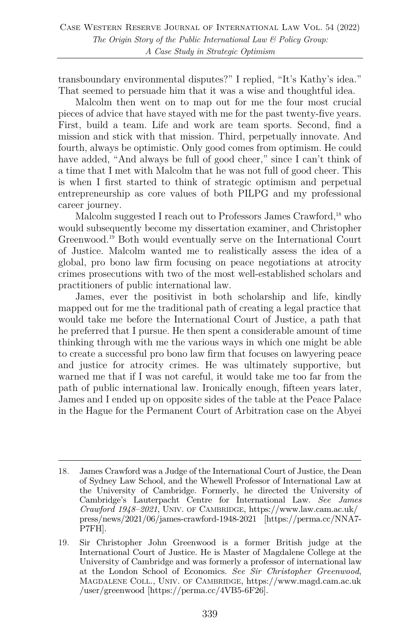transboundary environmental disputes?" I replied, "It's Kathy's idea." That seemed to persuade him that it was a wise and thoughtful idea.

Malcolm then went on to map out for me the four most crucial pieces of advice that have stayed with me for the past twenty-five years. First, build a team. Life and work are team sports. Second, find a mission and stick with that mission. Third, perpetually innovate. And fourth, always be optimistic. Only good comes from optimism. He could have added, "And always be full of good cheer," since I can't think of a time that I met with Malcolm that he was not full of good cheer. This is when I first started to think of strategic optimism and perpetual entrepreneurship as core values of both PILPG and my professional career journey.

Malcolm suggested I reach out to Professors James Crawford,<sup>18</sup> who would subsequently become my dissertation examiner, and Christopher Greenwood.19 Both would eventually serve on the International Court of Justice. Malcolm wanted me to realistically assess the idea of a global, pro bono law firm focusing on peace negotiations at atrocity crimes prosecutions with two of the most well-established scholars and practitioners of public international law.

James, ever the positivist in both scholarship and life, kindly mapped out for me the traditional path of creating a legal practice that would take me before the International Court of Justice, a path that he preferred that I pursue. He then spent a considerable amount of time thinking through with me the various ways in which one might be able to create a successful pro bono law firm that focuses on lawyering peace and justice for atrocity crimes. He was ultimately supportive, but warned me that if I was not careful, it would take me too far from the path of public international law. Ironically enough, fifteen years later, James and I ended up on opposite sides of the table at the Peace Palace in the Hague for the Permanent Court of Arbitration case on the Abyei

<sup>18.</sup> James Crawford was a Judge of the International Court of Justice, the Dean of Sydney Law School, and the Whewell Professor of International Law at the University of Cambridge. Formerly, he directed the University of Cambridge's Lauterpacht Centre for International Law. *See James Crawford 1948–2021*, UNIV. OF CAMBRIDGE, https://www.law.cam.ac.uk/ press/news/2021/06/james-crawford-1948-2021 [https://perma.cc/NNA7- P7FH].

<sup>19.</sup> Sir Christopher John Greenwood is a former British judge at the International Court of Justice. He is Master of Magdalene College at the University of Cambridge and was formerly a professor of international law at the London School of Economics. *See Sir Christopher Greenwood*, MAGDALENE COLL., UNIV. OF CAMBRIDGE, https://www.magd.cam.ac.uk /user/greenwood [https://perma.cc/4VB5-6F26].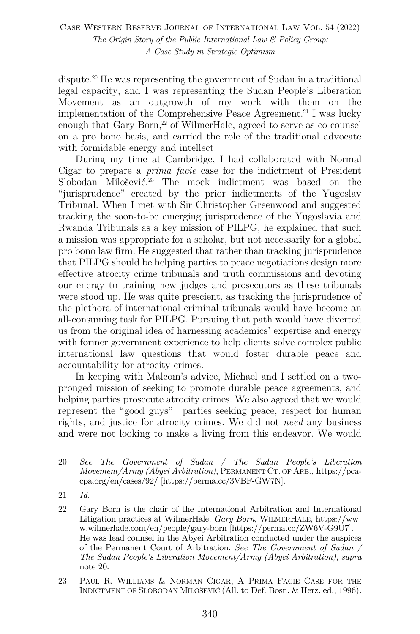dispute.<sup>20</sup> He was representing the government of Sudan in a traditional legal capacity, and I was representing the Sudan People's Liberation Movement as an outgrowth of my work with them on the implementation of the Comprehensive Peace Agreement.<sup>21</sup> I was lucky enough that Gary Born, $2$ <sup>2</sup> of WilmerHale, agreed to serve as co-counsel on a pro bono basis, and carried the role of the traditional advocate with formidable energy and intellect.

During my time at Cambridge, I had collaborated with Normal Cigar to prepare a *prima facie* case for the indictment of President Slobodan Milošević. <sup>23</sup> The mock indictment was based on the "jurisprudence" created by the prior indictments of the Yugoslav Tribunal. When I met with Sir Christopher Greenwood and suggested tracking the soon-to-be emerging jurisprudence of the Yugoslavia and Rwanda Tribunals as a key mission of PILPG, he explained that such a mission was appropriate for a scholar, but not necessarily for a global pro bono law firm. He suggested that rather than tracking jurisprudence that PILPG should be helping parties to peace negotiations design more effective atrocity crime tribunals and truth commissions and devoting our energy to training new judges and prosecutors as these tribunals were stood up. He was quite prescient, as tracking the jurisprudence of the plethora of international criminal tribunals would have become an all-consuming task for PILPG. Pursuing that path would have diverted us from the original idea of harnessing academics' expertise and energy with former government experience to help clients solve complex public international law questions that would foster durable peace and accountability for atrocity crimes.

In keeping with Malcom's advice, Michael and I settled on a twopronged mission of seeking to promote durable peace agreements, and helping parties prosecute atrocity crimes. We also agreed that we would represent the "good guys"—parties seeking peace, respect for human rights, and justice for atrocity crimes. We did not *need* any business and were not looking to make a living from this endeavor. We would

21. *Id.*

<sup>20.</sup> *See The Government of Sudan / The Sudan People's Liberation Movement/Army (Abyei Arbitration)*, PERMANENT CT. OF ARB., https://pcacpa.org/en/cases/92/ [https://perma.cc/3VBF-GW7N].

<sup>22.</sup> Gary Born is the chair of the International Arbitration and International Litigation practices at WilmerHale. *Gary Born*, WILMERHALE, https://ww w.wilmerhale.com/en/people/gary-born [https://perma.cc/ZW6V-G9U7]. He was lead counsel in the Abyei Arbitration conducted under the auspices of the Permanent Court of Arbitration. *See The Government of Sudan / The Sudan People's Liberation Movement/Army (Abyei Arbitration)*, *supra* note 20.

<sup>23.</sup> PAUL R. WILLIAMS & NORMAN CIGAR, A PRIMA FACIE CASE FOR THE INDICTMENT OF SLOBODAN MILOŠEVIĆ (All. to Def. Bosn. & Herz. ed., 1996).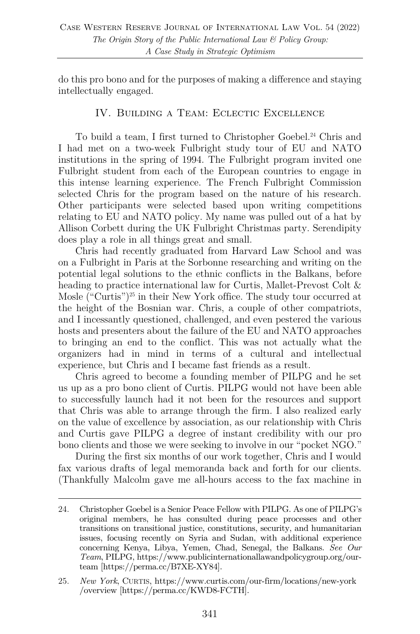do this pro bono and for the purposes of making a difference and staying intellectually engaged.

#### IV. Building a Team: Eclectic Excellence

To build a team, I first turned to Christopher Goebel.<sup>24</sup> Chris and I had met on a two-week Fulbright study tour of EU and NATO institutions in the spring of 1994. The Fulbright program invited one Fulbright student from each of the European countries to engage in this intense learning experience. The French Fulbright Commission selected Chris for the program based on the nature of his research. Other participants were selected based upon writing competitions relating to EU and NATO policy. My name was pulled out of a hat by Allison Corbett during the UK Fulbright Christmas party. Serendipity does play a role in all things great and small.

Chris had recently graduated from Harvard Law School and was on a Fulbright in Paris at the Sorbonne researching and writing on the potential legal solutions to the ethnic conflicts in the Balkans, before heading to practice international law for Curtis, Mallet-Prevost Colt & Mosle ("Curtis")<sup>25</sup> in their New York office. The study tour occurred at the height of the Bosnian war. Chris, a couple of other compatriots, and I incessantly questioned, challenged, and even pestered the various hosts and presenters about the failure of the EU and NATO approaches to bringing an end to the conflict. This was not actually what the organizers had in mind in terms of a cultural and intellectual experience, but Chris and I became fast friends as a result.

Chris agreed to become a founding member of PILPG and he set us up as a pro bono client of Curtis. PILPG would not have been able to successfully launch had it not been for the resources and support that Chris was able to arrange through the firm. I also realized early on the value of excellence by association, as our relationship with Chris and Curtis gave PILPG a degree of instant credibility with our pro bono clients and those we were seeking to involve in our "pocket NGO."

During the first six months of our work together, Chris and I would fax various drafts of legal memoranda back and forth for our clients. (Thankfully Malcolm gave me all-hours access to the fax machine in

<sup>24.</sup> Christopher Goebel is a Senior Peace Fellow with PILPG. As one of PILPG's original members, he has consulted during peace processes and other transitions on transitional justice, constitutions, security, and humanitarian issues, focusing recently on Syria and Sudan, with additional experience concerning Kenya, Libya, Yemen, Chad, Senegal, the Balkans. *See Our Team*, PILPG, https://www.publicinternationallawandpolicygroup.org/ourteam [https://perma.cc/B7XE-XY84].

<sup>25.</sup> *New York*, CURTIS, https://www.curtis.com/our-firm/locations/new-york /overview [https://perma.cc/KWD8-FCTH].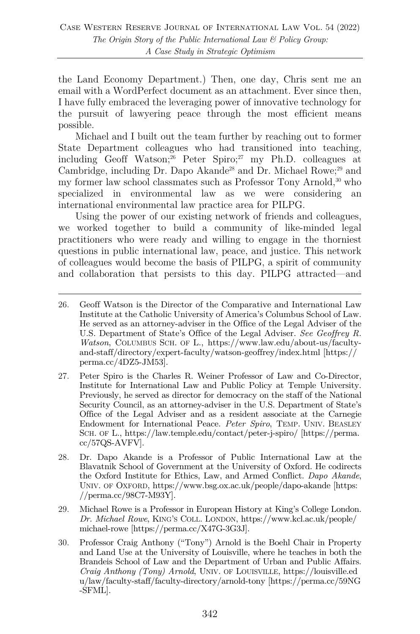the Land Economy Department.) Then, one day, Chris sent me an email with a WordPerfect document as an attachment. Ever since then, I have fully embraced the leveraging power of innovative technology for the pursuit of lawyering peace through the most efficient means possible.

Michael and I built out the team further by reaching out to former State Department colleagues who had transitioned into teaching, including Geoff Watson;<sup>26</sup> Peter Spiro;<sup>27</sup> my Ph.D. colleagues at Cambridge, including Dr. Dapo Akande<sup>28</sup> and Dr. Michael Rowe:<sup>29</sup> and my former law school classmates such as Professor Tony Arnold,<sup>30</sup> who specialized in environmental law as we were considering an international environmental law practice area for PILPG.

Using the power of our existing network of friends and colleagues, we worked together to build a community of like-minded legal practitioners who were ready and willing to engage in the thorniest questions in public international law, peace, and justice. This network of colleagues would become the basis of PILPG, a spirit of community and collaboration that persists to this day. PILPG attracted—and

<sup>26.</sup> Geoff Watson is the Director of the Comparative and International Law Institute at the Catholic University of America's Columbus School of Law. He served as an attorney-adviser in the Office of the Legal Adviser of the U.S. Department of State's Office of the Legal Adviser. *See Geoffrey R. Watson*, COLUMBUS SCH. OF L., https://www.law.edu/about-us/facultyand-staff/directory/expert-faculty/watson-geoffrey/index.html [https:// perma.cc/4DZ5-JM53].

<sup>27.</sup> Peter Spiro is the Charles R. Weiner Professor of Law and Co-Director, Institute for International Law and Public Policy at Temple University. Previously, he served as director for democracy on the staff of the National Security Council, as an attorney-adviser in the U.S. Department of State's Office of the Legal Adviser and as a resident associate at the Carnegie Endowment for International Peace. *Peter Spiro*, TEMP. UNIV. BEASLEY SCH. OF L., https://law.temple.edu/contact/peter-j-spiro/ [https://perma. cc/57QS-AVFV].

<sup>28.</sup> Dr. Dapo Akande is a Professor of Public International Law at the Blavatnik School of Government at the University of Oxford. He codirects the Oxford Institute for Ethics, Law, and Armed Conflict. *Dapo Akande*, UNIV. OF OXFORD, https://www.bsg.ox.ac.uk/people/dapo-akande [https: //perma.cc/98C7-M93Y].

<sup>29.</sup> Michael Rowe is a Professor in European History at King's College London. *Dr. Michael Rowe*, KING'S COLL. LONDON, https://www.kcl.ac.uk/people/ michael-rowe [https://perma.cc/X47G-3G3J].

<sup>30.</sup> Professor Craig Anthony ("Tony") Arnold is the Boehl Chair in Property and Land Use at the University of Louisville, where he teaches in both the Brandeis School of Law and the Department of Urban and Public Affairs. *Craig Anthony (Tony) Arnold*, UNIV. OF LOUISVILLE, https://louisville.ed u/law/faculty-staff/faculty-directory/arnold-tony [https://perma.cc/59NG -SFML].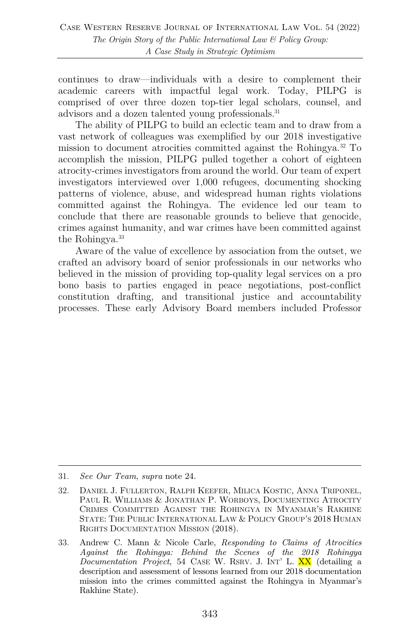continues to draw—individuals with a desire to complement their academic careers with impactful legal work. Today, PILPG is comprised of over three dozen top-tier legal scholars, counsel, and advisors and a dozen talented young professionals.<sup>31</sup>

The ability of PILPG to build an eclectic team and to draw from a vast network of colleagues was exemplified by our 2018 investigative mission to document atrocities committed against the Rohingya.32 To accomplish the mission, PILPG pulled together a cohort of eighteen atrocity-crimes investigators from around the world. Our team of expert investigators interviewed over 1,000 refugees, documenting shocking patterns of violence, abuse, and widespread human rights violations committed against the Rohingya. The evidence led our team to conclude that there are reasonable grounds to believe that genocide, crimes against humanity, and war crimes have been committed against the Rohingya.<sup>33</sup>

Aware of the value of excellence by association from the outset, we crafted an advisory board of senior professionals in our networks who believed in the mission of providing top-quality legal services on a pro bono basis to parties engaged in peace negotiations, post-conflict constitution drafting, and transitional justice and accountability processes. These early Advisory Board members included Professor

<sup>31.</sup> *See Our Team*, *supra* note 24.

<sup>32.</sup> DANIEL J. FULLERTON, RALPH KEEFER, MILICA KOSTIC, ANNA TRIPONEL, PAUL R. WILLIAMS & JONATHAN P. WORBOYS, DOCUMENTING ATROCITY CRIMES COMMITTED AGAINST THE ROHINGYA IN MYANMAR'S RAKHINE STATE: THE PUBLIC INTERNATIONAL LAW & POLICY GROUP'S 2018 HUMAN RIGHTS DOCUMENTATION MISSION (2018).

<sup>33.</sup> Andrew C. Mann & Nicole Carle, *Responding to Claims of Atrocities Against the Rohingya: Behind the Scenes of the 2018 Rohingya Documentation Project*, 54 CASE W. RSRV. J. INT' L. XX (detailing a description and assessment of lessons learned from our 2018 documentation mission into the crimes committed against the Rohingya in Myanmar's Rakhine State).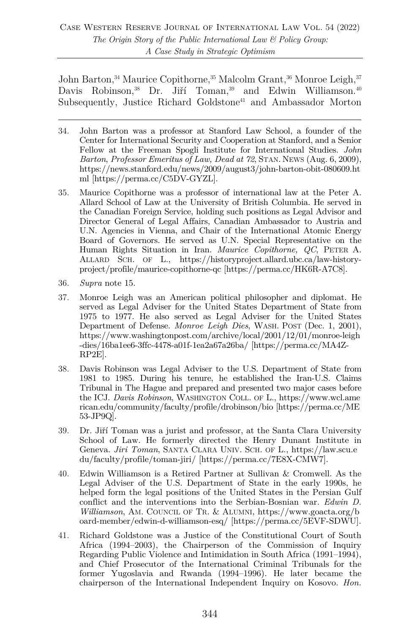John Barton,<sup>34</sup> Maurice Copithorne,<sup>35</sup> Malcolm Grant,<sup>36</sup> Monroe Leigh,<sup>37</sup> Davis Robinson,<sup>38</sup> Dr. Jiří Toman,<sup>39</sup> and Edwin Williamson.<sup>40</sup> Subsequently, Justice Richard Goldstone<sup>41</sup> and Ambassador Morton

- 34. John Barton was a professor at Stanford Law School, a founder of the Center for International Security and Cooperation at Stanford, and a Senior Fellow at the Freeman Spogli Institute for International Studies. *John Barton*, *Professor Emeritus of Law, Dead at 72*, STAN. NEWS (Aug. 6, 2009), https://news.stanford.edu/news/2009/august3/john-barton-obit-080609.ht ml [https://perma.cc/C5DV-GYZL].
- 35. Maurice Copithorne was a professor of international law at the Peter A. Allard School of Law at the University of British Columbia. He served in the Canadian Foreign Service, holding such positions as Legal Advisor and Director General of Legal Affairs, Canadian Ambassador to Austria and U.N. Agencies in Vienna, and Chair of the International Atomic Energy Board of Governors. He served as U.N. Special Representative on the Human Rights Situation in Iran. *Maurice Copithorne, QC*, PETER A. ALLARD SCH. OF L., https://historyproject.allard.ubc.ca/law-historyproject/profile/maurice-copithorne-qc [https://perma.cc/HK6R-A7C8].
- 36. *Supra* note 15.
- 37. Monroe Leigh was an American political philosopher and diplomat. He served as Legal Adviser for the United States Department of State from 1975 to 1977. He also served as Legal Adviser for the United States Department of Defense. *Monroe Leigh Dies*, WASH. POST (Dec. 1, 2001), https://www.washingtonpost.com/archive/local/2001/12/01/monroe-leigh -dies/16ba1ee6-3ffc-4478-a01f-1ea2a67a26ba/ [https://perma.cc/MA4Z-RP2E].
- 38. Davis Robinson was Legal Adviser to the U.S. Department of State from 1981 to 1985. During his tenure, he established the Iran-U.S. Claims Tribunal in The Hague and prepared and presented two major cases before the ICJ. *Davis Robinson*, WASHINGTON COLL. OF L., https://www.wcl.ame rican.edu/community/faculty/profile/drobinson/bio [https://perma.cc/ME 53-JP9Q].
- 39. Dr. Jiří Toman was a jurist and professor, at the Santa Clara University School of Law. He formerly directed the Henry Dunant Institute in Geneva. *Jiri Toman*, SANTA CLARA UNIV. SCH. OF L., https://law.scu.e du/faculty/profile/toman-jiri/ [https://perma.cc/7E8X-CMW7].
- 40. Edwin Williamson is a Retired Partner at Sullivan & Cromwell. As the Legal Adviser of the U.S. Department of State in the early 1990s, he helped form the legal positions of the United States in the Persian Gulf conflict and the interventions into the Serbian-Bosnian war. *Edwin D. Williamson*, AM. COUNCIL OF TR. & ALUMNI, https://www.goacta.org/b oard-member/edwin-d-williamson-esq/ [https://perma.cc/5EVF-SDWU].
- 41. Richard Goldstone was a Justice of the Constitutional Court of South Africa (1994–2003), the Chairperson of the Commission of Inquiry Regarding Public Violence and Intimidation in South Africa (1991–1994), and Chief Prosecutor of the International Criminal Tribunals for the former Yugoslavia and Rwanda (1994–1996). He later became the chairperson of the International Independent Inquiry on Kosovo. *Hon.*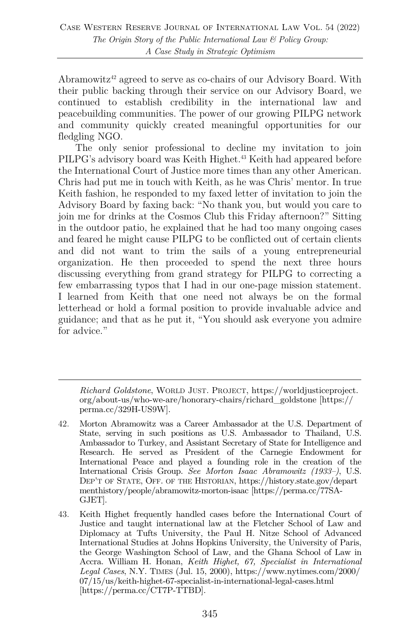Abramowitz<sup>42</sup> agreed to serve as co-chairs of our Advisory Board. With their public backing through their service on our Advisory Board, we continued to establish credibility in the international law and peacebuilding communities. The power of our growing PILPG network and community quickly created meaningful opportunities for our fledgling NGO.

The only senior professional to decline my invitation to join PILPG's advisory board was Keith Highet.<sup>43</sup> Keith had appeared before the International Court of Justice more times than any other American. Chris had put me in touch with Keith, as he was Chris' mentor. In true Keith fashion, he responded to my faxed letter of invitation to join the Advisory Board by faxing back: "No thank you, but would you care to join me for drinks at the Cosmos Club this Friday afternoon?" Sitting in the outdoor patio, he explained that he had too many ongoing cases and feared he might cause PILPG to be conflicted out of certain clients and did not want to trim the sails of a young entrepreneurial organization. He then proceeded to spend the next three hours discussing everything from grand strategy for PILPG to correcting a few embarrassing typos that I had in our one-page mission statement. I learned from Keith that one need not always be on the formal letterhead or hold a formal position to provide invaluable advice and guidance; and that as he put it, "You should ask everyone you admire for advice."

*Richard Goldstone*, WORLD JUST. PROJECT, https://worldjusticeproject. org/about-us/who-we-are/honorary-chairs/richard\_goldstone [https:// perma.cc/329H-US9W].

<sup>42.</sup> Morton Abramowitz was a Career Ambassador at the U.S. Department of State, serving in such positions as U.S. Ambassador to Thailand, U.S. Ambassador to Turkey, and Assistant Secretary of State for Intelligence and Research. He served as President of the Carnegie Endowment for International Peace and played a founding role in the creation of the International Crisis Group. *See Morton Isaac Abramowitz (1933–)*, U.S. DEP'T OF STATE, OFF. OF THE HISTORIAN, https://history.state.gov/depart menthistory/people/abramowitz-morton-isaac [https://perma.cc/77SA-GJET].

<sup>43.</sup> Keith Highet frequently handled cases before the International Court of Justice and taught international law at the Fletcher School of Law and Diplomacy at Tufts University, the Paul H. Nitze School of Advanced International Studies at Johns Hopkins University, the University of Paris, the George Washington School of Law, and the Ghana School of Law in Accra. William H. Honan, *Keith Highet, 67, Specialist in International Legal Cases*, N.Y. TIMES (Jul. 15, 2000), https://www.nytimes.com/2000/ 07/15/us/keith-highet-67-specialist-in-international-legal-cases.html [https://perma.cc/CT7P-TTBD].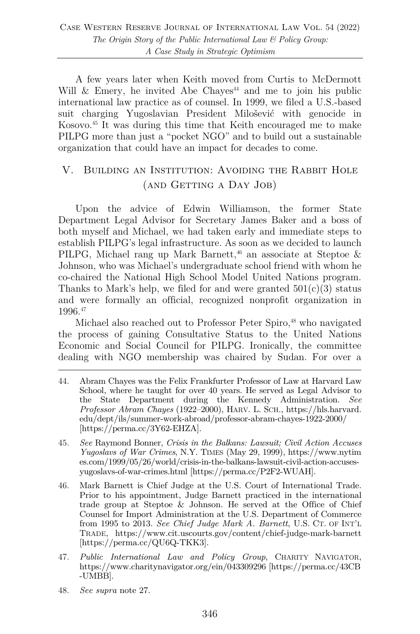A few years later when Keith moved from Curtis to McDermott Will  $\&$  Emery, he invited Abe Chayes<sup>44</sup> and me to join his public international law practice as of counsel. In 1999, we filed a U.S.-based suit charging Yugoslavian President Milošević with genocide in Kosovo.45 It was during this time that Keith encouraged me to make PILPG more than just a "pocket NGO" and to build out a sustainable organization that could have an impact for decades to come.

## V. Building an Institution: Avoiding the Rabbit Hole (AND GETTING A DAY JOB)

Upon the advice of Edwin Williamson, the former State Department Legal Advisor for Secretary James Baker and a boss of both myself and Michael, we had taken early and immediate steps to establish PILPG's legal infrastructure. As soon as we decided to launch PILPG, Michael rang up Mark Barnett,<sup>46</sup> an associate at Steptoe  $\&$ Johnson, who was Michael's undergraduate school friend with whom he co-chaired the National High School Model United Nations program. Thanks to Mark's help, we filed for and were granted  $501(c)(3)$  status and were formally an official, recognized nonprofit organization in 1996.47

Michael also reached out to Professor Peter Spiro,<sup>48</sup> who navigated the process of gaining Consultative Status to the United Nations Economic and Social Council for PILPG. Ironically, the committee dealing with NGO membership was chaired by Sudan. For over a

- 44. Abram Chayes was the Felix Frankfurter Professor of Law at Harvard Law School, where he taught for over 40 years. He served as Legal Advisor to the State Department during the Kennedy Administration. *See Professor Abram Chayes* (1922–2000), HARV. L. SCH., https://hls.harvard. edu/dept/ils/summer-work-abroad/professor-abram-chayes-1922-2000/ [https://perma.cc/3Y62-EHZA].
- 45. *See* Raymond Bonner, *Crisis in the Balkans: Lawsuit; Civil Action Accuses Yugoslavs of War Crimes*, N.Y. TIMES (May 29, 1999), https://www.nytim es.com/1999/05/26/world/crisis-in-the-balkans-lawsuit-civil-action-accusesyugoslavs-of-war-crimes.html [https://perma.cc/P2F2-WUAH].
- 46. Mark Barnett is Chief Judge at the U.S. Court of International Trade. Prior to his appointment, Judge Barnett practiced in the international trade group at Steptoe & Johnson. He served at the Office of Chief Counsel for Import Administration at the U.S. Department of Commerce from 1995 to 2013. *See Chief Judge Mark A. Barnett*, U.S. CT. OF INT'L TRADE, https://www.cit.uscourts.gov/content/chief-judge-mark-barnett [https://perma.cc/QU6Q-TKK3].
- 47. *Public International Law and Policy Group*, CHARITY NAVIGATOR, https://www.charitynavigator.org/ein/043309296 [https://perma.cc/43CB -UMBB].
- 48. *See supra* note 27.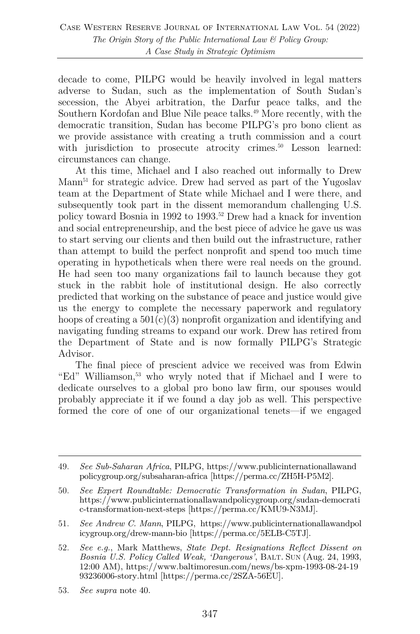decade to come, PILPG would be heavily involved in legal matters adverse to Sudan, such as the implementation of South Sudan's secession, the Abyei arbitration, the Darfur peace talks, and the Southern Kordofan and Blue Nile peace talks.<sup>49</sup> More recently, with the democratic transition, Sudan has become PILPG's pro bono client as we provide assistance with creating a truth commission and a court with jurisdiction to prosecute atrocity crimes.<sup>50</sup> Lesson learned: circumstances can change.

At this time, Michael and I also reached out informally to Drew Mann<sup>51</sup> for strategic advice. Drew had served as part of the Yugoslav team at the Department of State while Michael and I were there, and subsequently took part in the dissent memorandum challenging U.S. policy toward Bosnia in 1992 to 1993.52 Drew had a knack for invention and social entrepreneurship, and the best piece of advice he gave us was to start serving our clients and then build out the infrastructure, rather than attempt to build the perfect nonprofit and spend too much time operating in hypotheticals when there were real needs on the ground. He had seen too many organizations fail to launch because they got stuck in the rabbit hole of institutional design. He also correctly predicted that working on the substance of peace and justice would give us the energy to complete the necessary paperwork and regulatory hoops of creating a  $501(c)(3)$  nonprofit organization and identifying and navigating funding streams to expand our work. Drew has retired from the Department of State and is now formally PILPG's Strategic Advisor.

The final piece of prescient advice we received was from Edwin "Ed" Williamson,<sup>53</sup> who wryly noted that if Michael and I were to dedicate ourselves to a global pro bono law firm, our spouses would probably appreciate it if we found a day job as well. This perspective formed the core of one of our organizational tenets—if we engaged

<sup>49.</sup> *See Sub-Saharan Africa*, PILPG, https://www.publicinternationallawand policygroup.org/subsaharan-africa [https://perma.cc/ZH5H-P5M2].

<sup>50.</sup> *See Expert Roundtable: Democratic Transformation in Sudan*, PILPG, https://www.publicinternationallawandpolicygroup.org/sudan-democrati c-transformation-next-steps [https://perma.cc/KMU9-N3MJ].

<sup>51.</sup> *See Andrew C. Mann*, PILPG, https://www.publicinternationallawandpol icygroup.org/drew-mann-bio [https://perma.cc/5ELB-C5TJ].

<sup>52.</sup> *See e.g.*, Mark Matthews, *State Dept. Resignations Reflect Dissent on Bosnia U.S. Policy Called Weak, 'Dangerous'*, BALT. SUN (Aug. 24, 1993, 12:00 AM), https://www.baltimoresun.com/news/bs-xpm-1993-08-24-19 93236006-story.html [https://perma.cc/2SZA-56EU].

<sup>53.</sup> *See supra* note 40.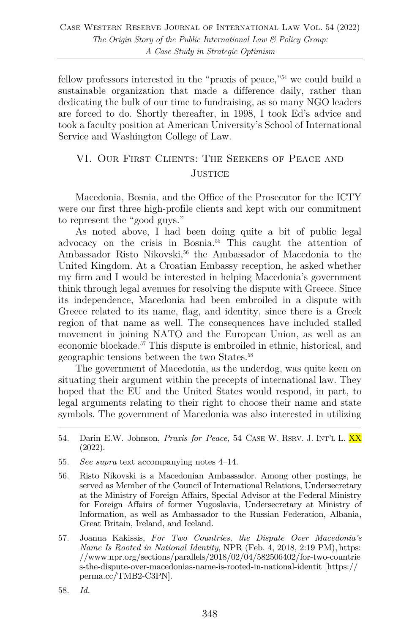fellow professors interested in the "praxis of peace,"<sup>54</sup> we could build a sustainable organization that made a difference daily, rather than dedicating the bulk of our time to fundraising, as so many NGO leaders are forced to do. Shortly thereafter, in 1998, I took Ed's advice and took a faculty position at American University's School of International Service and Washington College of Law.

### VI. Our First Clients: The Seekers of Peace and **JUSTICE**

Macedonia, Bosnia, and the Office of the Prosecutor for the ICTY were our first three high-profile clients and kept with our commitment to represent the "good guys."

As noted above, I had been doing quite a bit of public legal advocacy on the crisis in Bosnia.55 This caught the attention of Ambassador Risto Nikovski,<sup>56</sup> the Ambassador of Macedonia to the United Kingdom. At a Croatian Embassy reception, he asked whether my firm and I would be interested in helping Macedonia's government think through legal avenues for resolving the dispute with Greece. Since its independence, Macedonia had been embroiled in a dispute with Greece related to its name, flag, and identity, since there is a Greek region of that name as well. The consequences have included stalled movement in joining NATO and the European Union, as well as an economic blockade.57 This dispute is embroiled in ethnic, historical, and geographic tensions between the two States.58

The government of Macedonia, as the underdog, was quite keen on situating their argument within the precepts of international law. They hoped that the EU and the United States would respond, in part, to legal arguments relating to their right to choose their name and state symbols. The government of Macedonia was also interested in utilizing

- 55. *See supra* text accompanying notes 4–14.
- 56. Risto Nikovski is a Macedonian Ambassador. Among other postings, he served as Member of the Council of International Relations, Undersecretary at the Ministry of Foreign Affairs, Special Advisor at the Federal Ministry for Foreign Affairs of former Yugoslavia, Undersecretary at Ministry of Information, as well as Ambassador to the Russian Federation, Albania, Great Britain, Ireland, and Iceland.
- 57. Joanna Kakissis, *For Two Countries, the Dispute Over Macedonia's Name Is Rooted in National Identity*, NPR (Feb. 4, 2018, 2:19 PM), https: //www.npr.org/sections/parallels/2018/02/04/582506402/for-two-countrie s-the-dispute-over-macedonias-name-is-rooted-in-national-identit [https:// perma.cc/TMB2-C3PN].
- 58. *Id.*

<sup>54.</sup> Darin E.W. Johnson, *Praxis for Peace*, 54 CASE W. RSRV. J. INT'L L. XX (2022).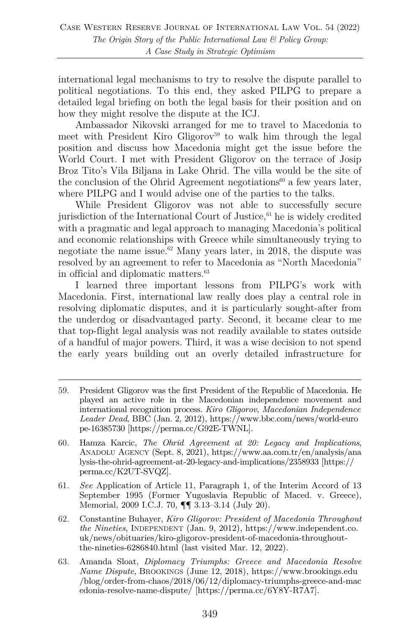international legal mechanisms to try to resolve the dispute parallel to political negotiations. To this end, they asked PILPG to prepare a detailed legal briefing on both the legal basis for their position and on how they might resolve the dispute at the ICJ.

Ambassador Nikovski arranged for me to travel to Macedonia to meet with President Kiro Gligorov<sup>59</sup> to walk him through the legal position and discuss how Macedonia might get the issue before the World Court. I met with President Gligorov on the terrace of Josip Broz Tito's Vila Biljana in Lake Ohrid. The villa would be the site of the conclusion of the Ohrid Agreement negotiations<sup>60</sup> a few years later, where PILPG and I would advise one of the parties to the talks.

While President Gligorov was not able to successfully secure jurisdiction of the International Court of Justice, $61$  he is widely credited with a pragmatic and legal approach to managing Macedonia's political and economic relationships with Greece while simultaneously trying to negotiate the name issue.<sup>62</sup> Many years later, in 2018, the dispute was resolved by an agreement to refer to Macedonia as "North Macedonia" in official and diplomatic matters.63

I learned three important lessons from PILPG's work with Macedonia. First, international law really does play a central role in resolving diplomatic disputes, and it is particularly sought-after from the underdog or disadvantaged party. Second, it became clear to me that top-flight legal analysis was not readily available to states outside of a handful of major powers. Third, it was a wise decision to not spend the early years building out an overly detailed infrastructure for

- 60. Hamza Karcic, *The Ohrid Agreement at 20: Legacy and Implications*, ANADOLU AGENCY (Sept. 8, 2021), https://www.aa.com.tr/en/analysis/ana lysis-the-ohrid-agreement-at-20-legacy-and-implications/2358933 [https:// perma.cc/K2UT-SVQZ].
- 61. *See* Application of Article 11, Paragraph 1, of the Interim Accord of 13 September 1995 (Former Yugoslavia Republic of Maced. v. Greece), Memorial, 2009 I.C.J. 70, ¶¶ 3.13–3.14 (July 20).
- 62. Constantine Buhayer, *Kiro Gligorov: President of Macedonia Throughout the Nineties*, INDEPENDENT (Jan. 9, 2012), https://www.independent.co. uk/news/obituaries/kiro-gligorov-president-of-macedonia-throughoutthe-nineties-6286840.html (last visited Mar. 12, 2022).
- 63. Amanda Sloat, *Diplomacy Triumphs: Greece and Macedonia Resolve Name Dispute*, BROOKINGS (June 12, 2018), https://www.brookings.edu /blog/order-from-chaos/2018/06/12/diplomacy-triumphs-greece-and-mac edonia-resolve-name-dispute/ [https://perma.cc/6Y8Y-R7A7].

<sup>59.</sup> President Gligorov was the first President of the Republic of Macedonia. He played an active role in the Macedonian independence movement and international recognition process. *Kiro Gligorov*, *Macedonian Independence Leader Dead*, BBC (Jan. 2, 2012), https://www.bbc.com/news/world-euro pe-16385730 [https://perma.cc/G92E-TWNL].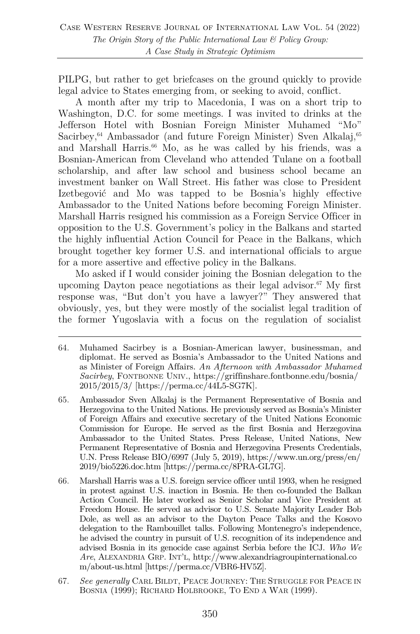PILPG, but rather to get briefcases on the ground quickly to provide legal advice to States emerging from, or seeking to avoid, conflict.

A month after my trip to Macedonia, I was on a short trip to Washington, D.C. for some meetings. I was invited to drinks at the Jefferson Hotel with Bosnian Foreign Minister Muhamed "Mo" Sacirbey,<sup>64</sup> Ambassador (and future Foreign Minister) Sven Alkalaj,<sup>65</sup> and Marshall Harris.<sup>66</sup> Mo, as he was called by his friends, was a Bosnian-American from Cleveland who attended Tulane on a football scholarship, and after law school and business school became an investment banker on Wall Street. His father was close to President Izetbegović and Mo was tapped to be Bosnia's highly effective Ambassador to the United Nations before becoming Foreign Minister. Marshall Harris resigned his commission as a Foreign Service Officer in opposition to the U.S. Government's policy in the Balkans and started the highly influential Action Council for Peace in the Balkans, which brought together key former U.S. and international officials to argue for a more assertive and effective policy in the Balkans.

Mo asked if I would consider joining the Bosnian delegation to the upcoming Dayton peace negotiations as their legal advisor. <sup>67</sup> My first response was, "But don't you have a lawyer?" They answered that obviously, yes, but they were mostly of the socialist legal tradition of the former Yugoslavia with a focus on the regulation of socialist

<sup>64.</sup> Muhamed Sacirbey is a Bosnian-American lawyer, businessman, and diplomat. He served as Bosnia's Ambassador to the United Nations and as Minister of Foreign Affairs. *An Afternoon with Ambassador Muhamed Sacirbey*, FONTBONNE UNIV., https://griffinshare.fontbonne.edu/bosnia/ 2015/2015/3/ [https://perma.cc/44L5-SG7K].

<sup>65.</sup> Ambassador Sven Alkalaj is the Permanent Representative of Bosnia and Herzegovina to the United Nations. He previously served as Bosnia's Minister of Foreign Affairs and executive secretary of the United Nations Economic Commission for Europe. He served as the first Bosnia and Herzegovina Ambassador to the United States. Press Release, United Nations, New Permanent Representative of Bosnia and Herzegovina Presents Credentials, U.N. Press Release BIO/6997 (July 5, 2019), https://www.un.org/press/en/ 2019/bio5226.doc.htm [https://perma.cc/8PRA-GL7G].

<sup>66.</sup> Marshall Harris was a U.S. foreign service officer until 1993, when he resigned in protest against U.S. inaction in Bosnia. He then co-founded the Balkan Action Council. He later worked as Senior Scholar and Vice President at Freedom House. He served as advisor to U.S. Senate Majority Leader Bob Dole, as well as an advisor to the Dayton Peace Talks and the Kosovo delegation to the Rambouillet talks. Following Montenegro's independence, he advised the country in pursuit of U.S. recognition of its independence and advised Bosnia in its genocide case against Serbia before the ICJ. *Who We Are*, ALEXANDRIA GRP. INT'L, http://www.alexandriagroupinternational.co m/about-us.html [https://perma.cc/VBR6-HV5Z].

<sup>67.</sup> *See generally* CARL BILDT, PEACE JOURNEY: THE STRUGGLE FOR PEACE IN BOSNIA (1999); RICHARD HOLBROOKE, TO END A WAR (1999).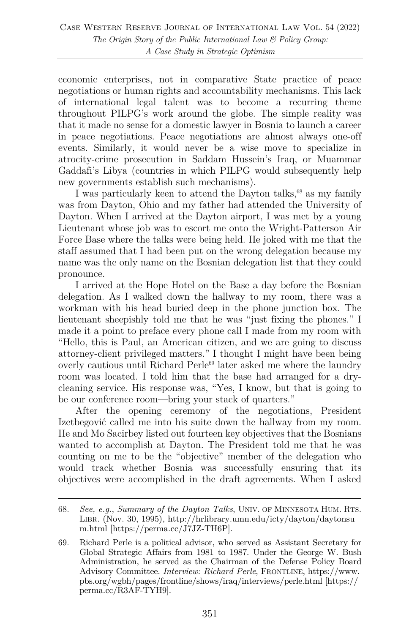economic enterprises, not in comparative State practice of peace negotiations or human rights and accountability mechanisms. This lack of international legal talent was to become a recurring theme throughout PILPG's work around the globe. The simple reality was that it made no sense for a domestic lawyer in Bosnia to launch a career in peace negotiations. Peace negotiations are almost always one-off events. Similarly, it would never be a wise move to specialize in atrocity-crime prosecution in Saddam Hussein's Iraq, or Muammar Gaddafi's Libya (countries in which PILPG would subsequently help new governments establish such mechanisms).

I was particularly keen to attend the Dayton talks, $68$  as my family was from Dayton, Ohio and my father had attended the University of Dayton. When I arrived at the Dayton airport, I was met by a young Lieutenant whose job was to escort me onto the Wright-Patterson Air Force Base where the talks were being held. He joked with me that the staff assumed that I had been put on the wrong delegation because my name was the only name on the Bosnian delegation list that they could pronounce.

I arrived at the Hope Hotel on the Base a day before the Bosnian delegation. As I walked down the hallway to my room, there was a workman with his head buried deep in the phone junction box. The lieutenant sheepishly told me that he was "just fixing the phones." I made it a point to preface every phone call I made from my room with "Hello, this is Paul, an American citizen, and we are going to discuss attorney-client privileged matters." I thought I might have been being overly cautious until Richard Perle<sup>69</sup> later asked me where the laundry room was located. I told him that the base had arranged for a drycleaning service. His response was, "Yes, I know, but that is going to be our conference room—bring your stack of quarters."

After the opening ceremony of the negotiations, President Izetbegović called me into his suite down the hallway from my room. He and Mo Sacirbey listed out fourteen key objectives that the Bosnians wanted to accomplish at Dayton. The President told me that he was counting on me to be the "objective" member of the delegation who would track whether Bosnia was successfully ensuring that its objectives were accomplished in the draft agreements. When I asked

<sup>68.</sup> *See, e.g.*, *Summary of the Dayton Talks*, UNIV. OF MINNESOTA HUM. RTS. LIBR. (Nov. 30, 1995), http://hrlibrary.umn.edu/icty/dayton/daytonsu m.html [https://perma.cc/J7JZ-TH6P].

<sup>69.</sup> Richard Perle is a political advisor, who served as Assistant Secretary for Global Strategic Affairs from 1981 to 1987. Under the George W. Bush Administration, he served as the Chairman of the Defense Policy Board Advisory Committee. *Interview: Richard Perle*, FRONTLINE, https://www. pbs.org/wgbh/pages/frontline/shows/iraq/interviews/perle.html [https:// perma.cc/R3AF-TYH9].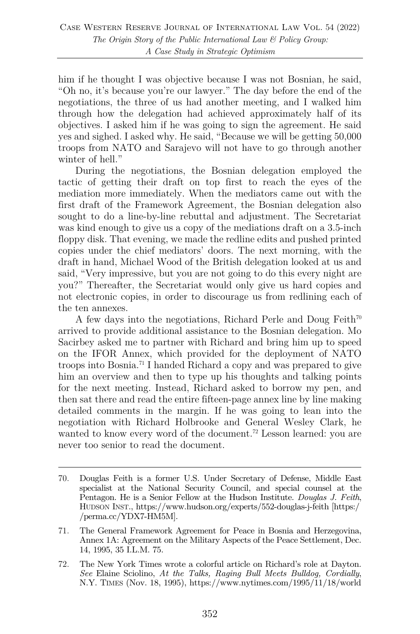him if he thought I was objective because I was not Bosnian, he said, "Oh no, it's because you're our lawyer." The day before the end of the negotiations, the three of us had another meeting, and I walked him through how the delegation had achieved approximately half of its objectives. I asked him if he was going to sign the agreement. He said yes and sighed. I asked why. He said, "Because we will be getting 50,000 troops from NATO and Sarajevo will not have to go through another winter of hell."

During the negotiations, the Bosnian delegation employed the tactic of getting their draft on top first to reach the eyes of the mediation more immediately. When the mediators came out with the first draft of the Framework Agreement, the Bosnian delegation also sought to do a line-by-line rebuttal and adjustment. The Secretariat was kind enough to give us a copy of the mediations draft on a 3.5-inch floppy disk. That evening, we made the redline edits and pushed printed copies under the chief mediators' doors. The next morning, with the draft in hand, Michael Wood of the British delegation looked at us and said, "Very impressive, but you are not going to do this every night are you?" Thereafter, the Secretariat would only give us hard copies and not electronic copies, in order to discourage us from redlining each of the ten annexes.

A few days into the negotiations, Richard Perle and Doug Feith<sup>70</sup> arrived to provide additional assistance to the Bosnian delegation. Mo Sacirbey asked me to partner with Richard and bring him up to speed on the IFOR Annex, which provided for the deployment of NATO troops into Bosnia.71 I handed Richard a copy and was prepared to give him an overview and then to type up his thoughts and talking points for the next meeting. Instead, Richard asked to borrow my pen, and then sat there and read the entire fifteen-page annex line by line making detailed comments in the margin. If he was going to lean into the negotiation with Richard Holbrooke and General Wesley Clark, he wanted to know every word of the document.<sup>72</sup> Lesson learned: you are never too senior to read the document.

<sup>70.</sup> Douglas Feith is a former U.S. Under Secretary of Defense, Middle East specialist at the National Security Council, and special counsel at the Pentagon. He is a Senior Fellow at the Hudson Institute. *Douglas J. Feith*, HUDSON INST., https://www.hudson.org/experts/552-douglas-j-feith [https:/ /perma.cc/YDX7-HM5M].

<sup>71.</sup> The General Framework Agreement for Peace in Bosnia and Herzegovina, Annex 1A: Agreement on the Military Aspects of the Peace Settlement, Dec. 14, 1995, 35 I.L.M. 75.

<sup>72.</sup> The New York Times wrote a colorful article on Richard's role at Dayton. *See* Elaine Sciolino, *At the Talks, Raging Bull Meets Bulldog, Cordially*, N.Y. TIMES (Nov. 18, 1995), https://www.nytimes.com/1995/11/18/world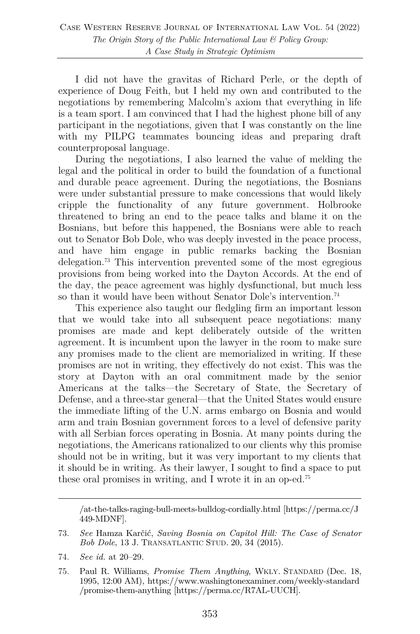I did not have the gravitas of Richard Perle, or the depth of experience of Doug Feith, but I held my own and contributed to the negotiations by remembering Malcolm's axiom that everything in life is a team sport. I am convinced that I had the highest phone bill of any participant in the negotiations, given that I was constantly on the line with my PILPG teammates bouncing ideas and preparing draft counterproposal language.

During the negotiations, I also learned the value of melding the legal and the political in order to build the foundation of a functional and durable peace agreement. During the negotiations, the Bosnians were under substantial pressure to make concessions that would likely cripple the functionality of any future government. Holbrooke threatened to bring an end to the peace talks and blame it on the Bosnians, but before this happened, the Bosnians were able to reach out to Senator Bob Dole, who was deeply invested in the peace process, and have him engage in public remarks backing the Bosnian delegation.73 This intervention prevented some of the most egregious provisions from being worked into the Dayton Accords. At the end of the day, the peace agreement was highly dysfunctional, but much less so than it would have been without Senator Dole's intervention.<sup>74</sup>

This experience also taught our fledgling firm an important lesson that we would take into all subsequent peace negotiations: many promises are made and kept deliberately outside of the written agreement. It is incumbent upon the lawyer in the room to make sure any promises made to the client are memorialized in writing. If these promises are not in writing, they effectively do not exist. This was the story at Dayton with an oral commitment made by the senior Americans at the talks—the Secretary of State, the Secretary of Defense, and a three-star general—that the United States would ensure the immediate lifting of the U.N. arms embargo on Bosnia and would arm and train Bosnian government forces to a level of defensive parity with all Serbian forces operating in Bosnia. At many points during the negotiations, the Americans rationalized to our clients why this promise should not be in writing, but it was very important to my clients that it should be in writing. As their lawyer, I sought to find a space to put these oral promises in writing, and I wrote it in an op-ed.75

/at-the-talks-raging-bull-meets-bulldog-cordially.html [https://perma.cc/J 449-MDNF].

74. *See id.* at 20–29.

<sup>73.</sup> *See* Hamza Karčić, *Saving Bosnia on Capitol Hill: The Case of Senator Bob Dole*, 13 J. TRANSATLANTIC STUD. 20, 34 (2015).

<sup>75.</sup> Paul R. Williams, *Promise Them Anything*, WKLY. STANDARD (Dec. 18, 1995, 12:00 AM), https://www.washingtonexaminer.com/weekly-standard /promise-them-anything [https://perma.cc/R7AL-UUCH].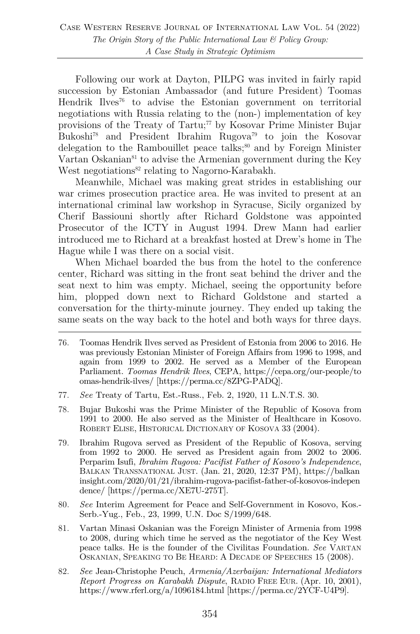Following our work at Dayton, PILPG was invited in fairly rapid succession by Estonian Ambassador (and future President) Toomas Hendrik Ilves<sup>76</sup> to advise the Estonian government on territorial negotiations with Russia relating to the (non-) implementation of key provisions of the Treaty of Tartu;<sup>77</sup> by Kosovar Prime Minister Bujar Bukoshi78 and President Ibrahim Rugova79 to join the Kosovar delegation to the Rambouillet peace talks;<sup>80</sup> and by Foreign Minister Vartan Oskanian $81$  to advise the Armenian government during the Key West negotiations<sup>82</sup> relating to Nagorno-Karabakh.

Meanwhile, Michael was making great strides in establishing our war crimes prosecution practice area. He was invited to present at an international criminal law workshop in Syracuse, Sicily organized by Cherif Bassiouni shortly after Richard Goldstone was appointed Prosecutor of the ICTY in August 1994. Drew Mann had earlier introduced me to Richard at a breakfast hosted at Drew's home in The Hague while I was there on a social visit.

When Michael boarded the bus from the hotel to the conference center, Richard was sitting in the front seat behind the driver and the seat next to him was empty. Michael, seeing the opportunity before him, plopped down next to Richard Goldstone and started a conversation for the thirty-minute journey. They ended up taking the same seats on the way back to the hotel and both ways for three days.

- 77. *See* Treaty of Tartu, Est.-Russ., Feb. 2, 1920, 11 L.N.T.S. 30.
- 78. Bujar Bukoshi was the Prime Minister of the Republic of Kosova from 1991 to 2000. He also served as the Minister of Healthcare in Kosovo. ROBERT ELISE, HISTORICAL DICTIONARY OF KOSOVA 33 (2004).
- 79. Ibrahim Rugova served as President of the Republic of Kosova, serving from 1992 to 2000. He served as President again from 2002 to 2006. Perparim Isufi, *Ibrahim Rugova: Pacifist Father of Kosovo's Independence*, BALKAN TRANSNATIONAL JUST. (Jan. 21, 2020, 12:37 PM), https://balkan insight.com/2020/01/21/ibrahim-rugova-pacifist-father-of-kosovos-indepen dence/ [https://perma.cc/XE7U-275T].
- 80. *See* Interim Agreement for Peace and Self-Government in Kosovo, Kos.- Serb.-Yug., Feb., 23, 1999, U.N. Doc S/1999/648.
- 81. Vartan Minasi Oskanian was the Foreign Minister of Armenia from 1998 to 2008, during which time he served as the negotiator of the Key West peace talks. He is the founder of the Civilitas Foundation. *See* VARTAN OSKANIAN, SPEAKING TO BE HEARD: A DECADE OF SPEECHES 15 (2008).
- 82. *See* Jean-Christophe Peuch, *Armenia/Azerbaijan: International Mediators Report Progress on Karabakh Dispute*, RADIO FREE EUR. (Apr. 10, 2001), https://www.rferl.org/a/1096184.html [https://perma.cc/2YCF-U4P9].

<sup>76.</sup> Toomas Hendrik Ilves served as President of Estonia from 2006 to 2016. He was previously Estonian Minister of Foreign Affairs from 1996 to 1998, and again from 1999 to 2002. He served as a Member of the European Parliament. *Toomas Hendrik Ilves*, CEPA, https://cepa.org/our-people/to omas-hendrik-ilves/ [https://perma.cc/8ZPG-PADQ].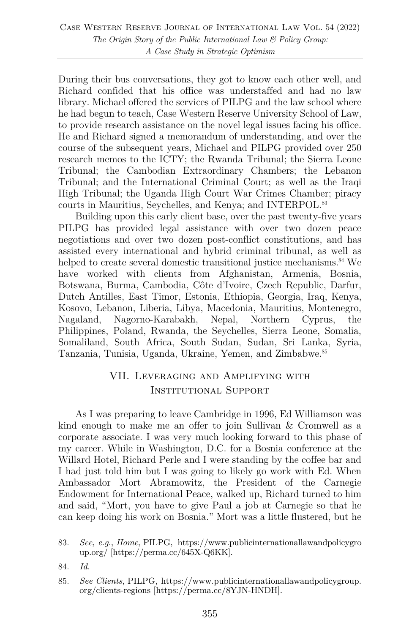During their bus conversations, they got to know each other well, and Richard confided that his office was understaffed and had no law library. Michael offered the services of PILPG and the law school where he had begun to teach, Case Western Reserve University School of Law, to provide research assistance on the novel legal issues facing his office. He and Richard signed a memorandum of understanding, and over the course of the subsequent years, Michael and PILPG provided over 250 research memos to the ICTY; the Rwanda Tribunal; the Sierra Leone Tribunal; the Cambodian Extraordinary Chambers; the Lebanon Tribunal; and the International Criminal Court; as well as the Iraqi High Tribunal; the Uganda High Court War Crimes Chamber; piracy courts in Mauritius, Seychelles, and Kenya; and INTERPOL.83

Building upon this early client base, over the past twenty-five years PILPG has provided legal assistance with over two dozen peace negotiations and over two dozen post-conflict constitutions, and has assisted every international and hybrid criminal tribunal, as well as helped to create several domestic transitional justice mechanisms.<sup>84</sup> We have worked with clients from Afghanistan, Armenia, Bosnia, Botswana, Burma, Cambodia, Côte d'Ivoire, Czech Republic, Darfur, Dutch Antilles, East Timor, Estonia, Ethiopia, Georgia, Iraq, Kenya, Kosovo, Lebanon, Liberia, Libya, Macedonia, Mauritius, Montenegro, Nagaland, Nagorno-Karabakh, Nepal, Northern Cyprus, the Philippines, Poland, Rwanda, the Seychelles, Sierra Leone, Somalia, Somaliland, South Africa, South Sudan, Sudan, Sri Lanka, Syria, Tanzania, Tunisia, Uganda, Ukraine, Yemen, and Zimbabwe.85

# VII. Leveraging and Amplifying with Institutional Support

As I was preparing to leave Cambridge in 1996, Ed Williamson was kind enough to make me an offer to join Sullivan & Cromwell as a corporate associate. I was very much looking forward to this phase of my career. While in Washington, D.C. for a Bosnia conference at the Willard Hotel, Richard Perle and I were standing by the coffee bar and I had just told him but I was going to likely go work with Ed. When Ambassador Mort Abramowitz, the President of the Carnegie Endowment for International Peace, walked up, Richard turned to him and said, "Mort, you have to give Paul a job at Carnegie so that he can keep doing his work on Bosnia." Mort was a little flustered, but he

<sup>83.</sup> *See, e.g.*, *Home*, PILPG, https://www.publicinternationallawandpolicygro up.org/ [https://perma.cc/645X-Q6KK].

<sup>84.</sup> *Id.*

<sup>85.</sup> *See Clients*, PILPG, https://www.publicinternationallawandpolicygroup. org/clients-regions [https://perma.cc/8YJN-HNDH].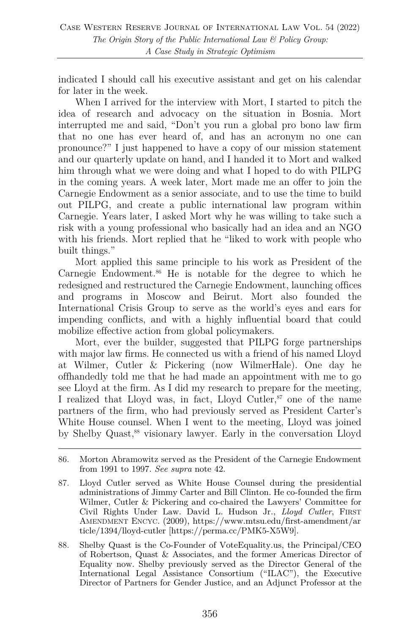indicated I should call his executive assistant and get on his calendar for later in the week.

When I arrived for the interview with Mort, I started to pitch the idea of research and advocacy on the situation in Bosnia. Mort interrupted me and said, "Don't you run a global pro bono law firm that no one has ever heard of, and has an acronym no one can pronounce?" I just happened to have a copy of our mission statement and our quarterly update on hand, and I handed it to Mort and walked him through what we were doing and what I hoped to do with PILPG in the coming years. A week later, Mort made me an offer to join the Carnegie Endowment as a senior associate, and to use the time to build out PILPG, and create a public international law program within Carnegie. Years later, I asked Mort why he was willing to take such a risk with a young professional who basically had an idea and an NGO with his friends. Mort replied that he "liked to work with people who built things."

Mort applied this same principle to his work as President of the Carnegie Endowment.<sup>86</sup> He is notable for the degree to which he redesigned and restructured the Carnegie Endowment, launching offices and programs in Moscow and Beirut. Mort also founded the International Crisis Group to serve as the world's eyes and ears for impending conflicts, and with a highly influential board that could mobilize effective action from global policymakers.

Mort, ever the builder, suggested that PILPG forge partnerships with major law firms. He connected us with a friend of his named Lloyd at Wilmer, Cutler & Pickering (now WilmerHale). One day he offhandedly told me that he had made an appointment with me to go see Lloyd at the firm. As I did my research to prepare for the meeting, I realized that Lloyd was, in fact, Lloyd Cutler, $\mathcal{S}^7$  one of the name partners of the firm, who had previously served as President Carter's White House counsel. When I went to the meeting, Lloyd was joined by Shelby Quast,<sup>88</sup> visionary lawyer. Early in the conversation Lloyd

- 87. Lloyd Cutler served as White House Counsel during the presidential administrations of Jimmy Carter and Bill Clinton. He co-founded the firm Wilmer, Cutler & Pickering and co-chaired the Lawyers' Committee for Civil Rights Under Law. David L. Hudson Jr., *Lloyd Cutler*, FIRST AMENDMENT ENCYC. (2009), https://www.mtsu.edu/first-amendment/ar ticle/1394/lloyd-cutler [https://perma.cc/PMK5-X5W9].
- 88. Shelby Quast is the Co-Founder of VoteEquality.us, the Principal/CEO of Robertson, Quast & Associates, and the former Americas Director of Equality now. Shelby previously served as the Director General of the International Legal Assistance Consortium ("ILAC"), the Executive Director of Partners for Gender Justice, and an Adjunct Professor at the

<sup>86.</sup> Morton Abramowitz served as the President of the Carnegie Endowment from 1991 to 1997. *See supra* note 42.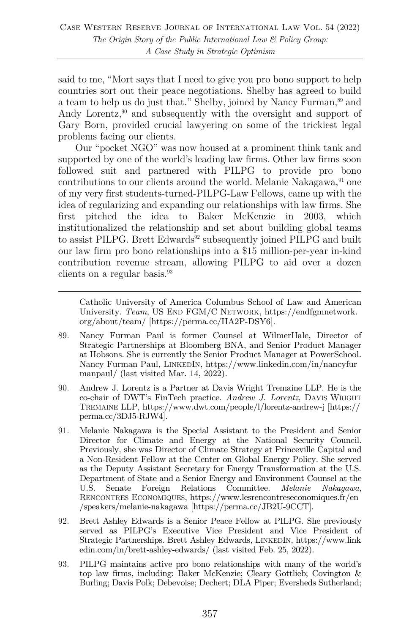said to me, "Mort says that I need to give you pro bono support to help countries sort out their peace negotiations. Shelby has agreed to build a team to help us do just that." Shelby, joined by Nancy Furman,<sup>89</sup> and Andy Lorentz,<sup>90</sup> and subsequently with the oversight and support of Gary Born, provided crucial lawyering on some of the trickiest legal problems facing our clients.

Our "pocket NGO" was now housed at a prominent think tank and supported by one of the world's leading law firms. Other law firms soon followed suit and partnered with PILPG to provide pro bono contributions to our clients around the world. Melanie Nakagawa,  $91$  one of my very first students-turned-PILPG-Law Fellows, came up with the idea of regularizing and expanding our relationships with law firms. She first pitched the idea to Baker McKenzie in 2003, which institutionalized the relationship and set about building global teams to assist PILPG. Brett Edwards<sup>92</sup> subsequently joined PILPG and built our law firm pro bono relationships into a \$15 million-per-year in-kind contribution revenue stream, allowing PILPG to aid over a dozen clients on a regular basis.<sup>93</sup>

Catholic University of America Columbus School of Law and American University. *Team*, US END FGM/C NETWORK, https://endfgmnetwork. org/about/team/ [https://perma.cc/HA2P-DSY6].

- 89. Nancy Furman Paul is former Counsel at WilmerHale, Director of Strategic Partnerships at Bloomberg BNA, and Senior Product Manager at Hobsons. She is currently the Senior Product Manager at PowerSchool. Nancy Furman Paul, LINKEDIN, https://www.linkedin.com/in/nancyfur manpaul/ (last visited Mar. 14, 2022).
- 90. Andrew J. Lorentz is a Partner at Davis Wright Tremaine LLP. He is the co-chair of DWT's FinTech practice. *Andrew J. Lorentz*, DAVIS WRIGHT TREMAINE LLP, https://www.dwt.com/people/l/lorentz-andrew-j [https:// perma.cc/3DJ5-RJW4].
- 91. Melanie Nakagawa is the Special Assistant to the President and Senior Director for Climate and Energy at the National Security Council. Previously, she was Director of Climate Strategy at Princeville Capital and a Non-Resident Fellow at the Center on Global Energy Policy. She served as the Deputy Assistant Secretary for Energy Transformation at the U.S. Department of State and a Senior Energy and Environment Counsel at the U.S. Senate Foreign Relations Committee. *Melanie Nakagawa*, RENCONTRES ECONOMIQUES, https://www.lesrencontreseconomiques.fr/en /speakers/melanie-nakagawa [https://perma.cc/JB2U-9CCT].
- 92. Brett Ashley Edwards is a Senior Peace Fellow at PILPG. She previously served as PILPG's Executive Vice President and Vice President of Strategic Partnerships. Brett Ashley Edwards, LINKEDIN, https://www.link edin.com/in/brett-ashley-edwards/ (last visited Feb. 25, 2022).
- 93. PILPG maintains active pro bono relationships with many of the world's top law firms, including: Baker McKenzie; Cleary Gottlieb; Covington & Burling; Davis Polk; Debevoise; Dechert; DLA Piper; Eversheds Sutherland;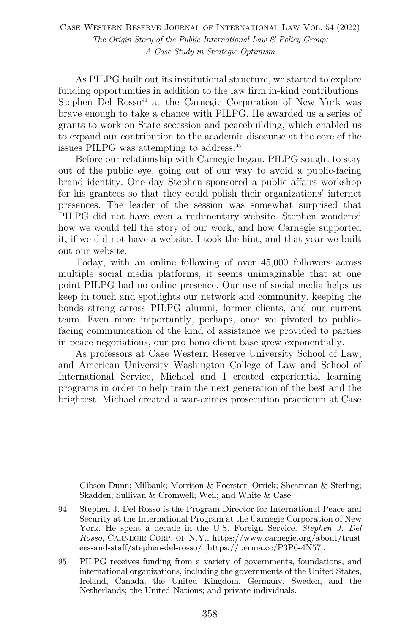As PILPG built out its institutional structure, we started to explore funding opportunities in addition to the law firm in-kind contributions. Stephen Del Rosso<sup>94</sup> at the Carnegie Corporation of New York was brave enough to take a chance with PILPG. He awarded us a series of grants to work on State secession and peacebuilding, which enabled us to expand our contribution to the academic discourse at the core of the issues PILPG was attempting to address.95

Before our relationship with Carnegie began, PILPG sought to stay out of the public eye, going out of our way to avoid a public-facing brand identity. One day Stephen sponsored a public affairs workshop for his grantees so that they could polish their organizations' internet presences. The leader of the session was somewhat surprised that PILPG did not have even a rudimentary website. Stephen wondered how we would tell the story of our work, and how Carnegie supported it, if we did not have a website. I took the hint, and that year we built out our website.

Today, with an online following of over 45,000 followers across multiple social media platforms, it seems unimaginable that at one point PILPG had no online presence. Our use of social media helps us keep in touch and spotlights our network and community, keeping the bonds strong across PILPG alumni, former clients, and our current team. Even more importantly, perhaps, once we pivoted to publicfacing communication of the kind of assistance we provided to parties in peace negotiations, our pro bono client base grew exponentially.

As professors at Case Western Reserve University School of Law, and American University Washington College of Law and School of International Service, Michael and I created experiential learning programs in order to help train the next generation of the best and the brightest. Michael created a war-crimes prosecution practicum at Case

Gibson Dunn; Milbank; Morrison & Foerster; Orrick; Shearman & Sterling; Skadden; Sullivan & Cromwell; Weil; and White & Case.

<sup>94.</sup> Stephen J. Del Rosso is the Program Director for International Peace and Security at the International Program at the Carnegie Corporation of New York. He spent a decade in the U.S. Foreign Service. *Stephen J. Del Rosso*, CARNEGIE CORP. OF N.Y., https://www.carnegie.org/about/trust ees-and-staff/stephen-del-rosso/ [https://perma.cc/P3P6-4N57].

<sup>95.</sup> PILPG receives funding from a variety of governments, foundations, and international organizations, including the governments of the United States, Ireland, Canada, the United Kingdom, Germany, Sweden, and the Netherlands; the United Nations; and private individuals.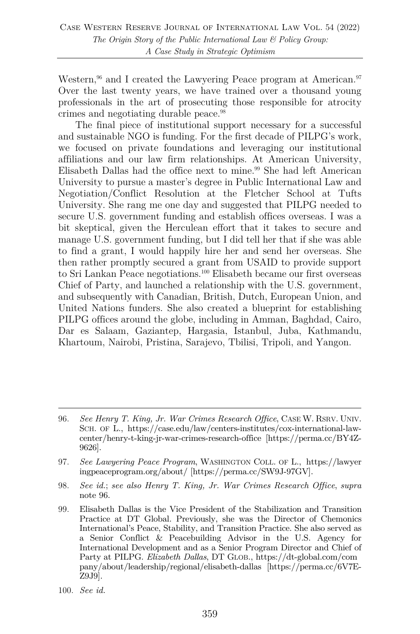Western,<sup>96</sup> and I created the Lawyering Peace program at American.<sup>97</sup> Over the last twenty years, we have trained over a thousand young professionals in the art of prosecuting those responsible for atrocity crimes and negotiating durable peace.98

The final piece of institutional support necessary for a successful and sustainable NGO is funding. For the first decade of PILPG's work, we focused on private foundations and leveraging our institutional affiliations and our law firm relationships. At American University, Elisabeth Dallas had the office next to mine.<sup>99</sup> She had left American University to pursue a master's degree in Public International Law and Negotiation/Conflict Resolution at the Fletcher School at Tufts University. She rang me one day and suggested that PILPG needed to secure U.S. government funding and establish offices overseas. I was a bit skeptical, given the Herculean effort that it takes to secure and manage U.S. government funding, but I did tell her that if she was able to find a grant, I would happily hire her and send her overseas. She then rather promptly secured a grant from USAID to provide support to Sri Lankan Peace negotiations.100 Elisabeth became our first overseas Chief of Party, and launched a relationship with the U.S. government, and subsequently with Canadian, British, Dutch, European Union, and United Nations funders. She also created a blueprint for establishing PILPG offices around the globe, including in Amman, Baghdad, Cairo, Dar es Salaam, Gaziantep, Hargasia, Istanbul, Juba, Kathmandu, Khartoum, Nairobi, Pristina, Sarajevo, Tbilisi, Tripoli, and Yangon.

98. *See id.*; *see also Henry T. King, Jr. War Crimes Research Office*, *supra*  note 96.

<sup>96.</sup> *See Henry T. King, Jr. War Crimes Research Office*, CASE W. RSRV. UNIV. SCH. OF L., https://case.edu/law/centers-institutes/cox-international-lawcenter/henry-t-king-jr-war-crimes-research-office [https://perma.cc/BY4Z-9626].

<sup>97.</sup> *See Lawyering Peace Program*, WASHINGTON COLL. OF L., https://lawyer ingpeaceprogram.org/about/ [https://perma.cc/SW9J-97GV].

<sup>99.</sup> Elisabeth Dallas is the Vice President of the Stabilization and Transition Practice at DT Global. Previously, she was the Director of Chemonics International's Peace, Stability, and Transition Practice. She also served as a Senior Conflict & Peacebuilding Advisor in the U.S. Agency for International Development and as a Senior Program Director and Chief of Party at PILPG. *Elizabeth Dallas*, DT GLOB., https://dt-global.com/com pany/about/leadership/regional/elisabeth-dallas [https://perma.cc/6V7E-Z9J9].

<sup>100.</sup> *See id.*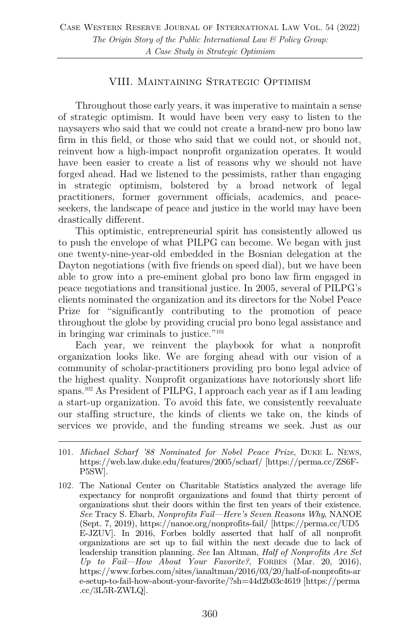#### VIII. Maintaining Strategic Optimism

Throughout those early years, it was imperative to maintain a sense of strategic optimism. It would have been very easy to listen to the naysayers who said that we could not create a brand-new pro bono law firm in this field, or those who said that we could not, or should not, reinvent how a high-impact nonprofit organization operates. It would have been easier to create a list of reasons why we should not have forged ahead. Had we listened to the pessimists, rather than engaging in strategic optimism, bolstered by a broad network of legal practitioners, former government officials, academics, and peaceseekers, the landscape of peace and justice in the world may have been drastically different.

This optimistic, entrepreneurial spirit has consistently allowed us to push the envelope of what PILPG can become. We began with just one twenty-nine-year-old embedded in the Bosnian delegation at the Dayton negotiations (with five friends on speed dial), but we have been able to grow into a pre-eminent global pro bono law firm engaged in peace negotiations and transitional justice. In 2005, several of PILPG's clients nominated the organization and its directors for the Nobel Peace Prize for "significantly contributing to the promotion of peace throughout the globe by providing crucial pro bono legal assistance and in bringing war criminals to justice."101

Each year, we reinvent the playbook for what a nonprofit organization looks like. We are forging ahead with our vision of a community of scholar-practitioners providing pro bono legal advice of the highest quality. Nonprofit organizations have notoriously short life spans.102 As President of PILPG, I approach each year as if I am leading a start-up organization. To avoid this fate, we consistently reevaluate our staffing structure, the kinds of clients we take on, the kinds of services we provide, and the funding streams we seek. Just as our

<sup>101.</sup> *Michael Scharf '88 Nominated for Nobel Peace Prize*, DUKE L. NEWS, https://web.law.duke.edu/features/2005/scharf/ [https://perma.cc/ZS6F-P5SW].

<sup>102.</sup> The National Center on Charitable Statistics analyzed the average life expectancy for nonprofit organizations and found that thirty percent of organizations shut their doors within the first ten years of their existence. *See* Tracy S. Ebarb, *Nonprofits Fail—Here's Seven Reasons Why*, NANOE (Sept. 7, 2019), https://nanoe.org/nonprofits-fail/ [https://perma.cc/UD5 E-JZUV]. In 2016, Forbes boldly asserted that half of all nonprofit organizations are set up to fail within the next decade due to lack of leadership transition planning. *See* Ian Altman, *Half of Nonprofits Are Set Up to Fail—How About Your Favorite?*, FORBES (Mar. 20, 2016), https://www.forbes.com/sites/ianaltman/2016/03/20/half-of-nonprofits-ar e-setup-to-fail-how-about-your-favorite/?sh=44d2b03c4619 [https://perma .cc/3L5R-ZWLQ].